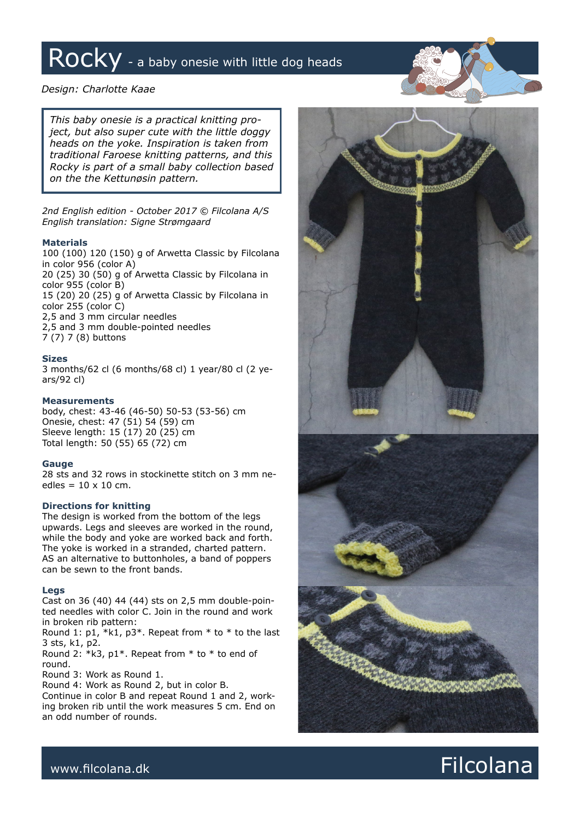# Rocky - a baby onesie with little dog heads

# *Design: Charlotte Kaae*

*This baby onesie is a practical knitting project, but also super cute with the little doggy heads on the yoke. Inspiration is taken from traditional Faroese knitting patterns, and this Rocky is part of a small baby collection based on the the Kettunøsin pattern.* 

*2nd English edition - October 2017 © Filcolana A/S English translation: Signe Strømgaard*

# **Materials**

100 (100) 120 (150) g of Arwetta Classic by Filcolana in color 956 (color A) 20 (25) 30 (50) g of Arwetta Classic by Filcolana in color 955 (color B) 15 (20) 20 (25) g of Arwetta Classic by Filcolana in color 255 (color C) 2,5 and 3 mm circular needles 2,5 and 3 mm double-pointed needles 7 (7) 7 (8) buttons

### **Sizes**

3 months/62 cl (6 months/68 cl) 1 year/80 cl (2 years/92 cl)

### **Measurements**

body, chest: 43-46 (46-50) 50-53 (53-56) cm Onesie, chest: 47 (51) 54 (59) cm Sleeve length: 15 (17) 20 (25) cm Total length: 50 (55) 65 (72) cm

## **Gauge**

28 sts and 32 rows in stockinette stitch on 3 mm needles =  $10 \times 10$  cm.

# **Directions for knitting**

The design is worked from the bottom of the legs upwards. Legs and sleeves are worked in the round, while the body and yoke are worked back and forth. The yoke is worked in a stranded, charted pattern. AS an alternative to buttonholes, a band of poppers can be sewn to the front bands.

### **Legs**

Cast on 36 (40) 44 (44) sts on 2,5 mm double-pointed needles with color C. Join in the round and work in broken rib pattern:

Round 1: p1,  $*k1$ , p3 $*$ . Repeat from  $*$  to  $*$  to the last 3 sts, k1, p2.

Round 2:  $*k3$ , p1 $*$ . Repeat from  $*$  to  $*$  to end of round.

Round 3: Work as Round 1.

Round 4: Work as Round 2, but in color B.

Continue in color B and repeat Round 1 and 2, working broken rib until the work measures 5 cm. End on an odd number of rounds.



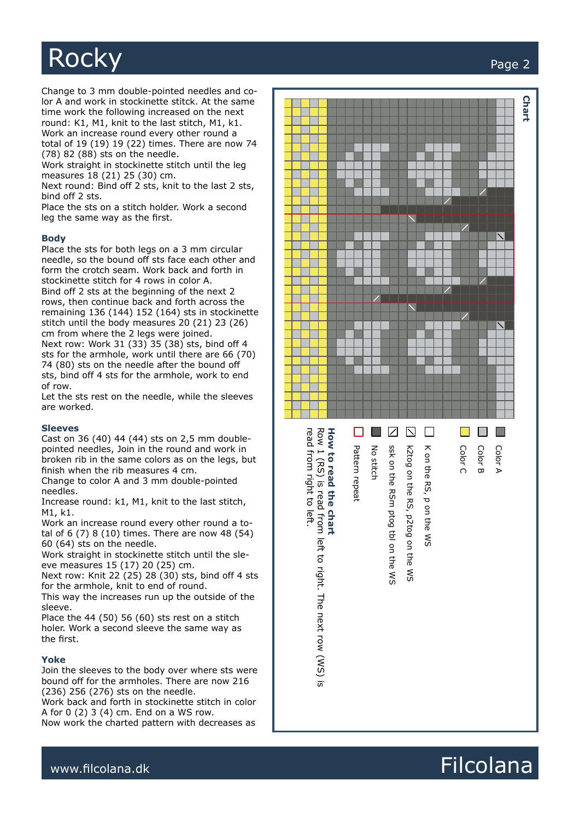

Change to 3 mm double-pointed needles and co lor A and work in stockinette stitck. At the same time work the following increased on the next round: K1, M1, knit to the last stitch, M1, k1. Work an increase round every other round a

total of 19 (19) 19 (22) times. There are now 74 (78) 82 (88) sts on the needle.

Work straight in stockinette stitch until the leg measures 18 (21) 25 (30) cm.

Next round: Bind off 2 sts, knit to the last 2 sts, bind off 2 sts.

Place the sts on a stitch holder. Work a second leg the same way as the first.

### **Body**

Place the sts for both legs on a 3 mm circular needle, so the bound off sts face each other and form the crotch seam. Work back and forth in stockinette stitch for 4 rows in color A. Bind off 2 sts at the beginning of the next 2 rows, then continue back and forth across the remaining 136 (144) 152 (164) sts in stockinette stitch until the body measures 20 (21) 23 (26) cm from where the 2 legs were joined. Next row: Work 31 (33) 35 (38) sts, bind off 4 sts for the armhole, work until there are 66 (70) 74 (80) sts on the needle after the bound off sts, bind off 4 sts for the armhole, work to end of row.

Let the sts rest on the needle, while the sleeves are worked.

#### **Sleeves**

Cast on 36 (40) 44 (44) sts on 2,5 mm doublepointed needles, Join in the round and work in broken rib in the same colors as on the legs, but finish when the rib measures 4 cm.

Change to color A and 3 mm double-pointed needles.

Increase round: k1, M1, knit to the last stitch, M1, k1.

Work an increase round every other round a to tal of 6 (7) 8 (10) times. There are now 48 (54) 60 (64) sts on the needle.

Work straight in stockinette stitch until the sle eve measures 15 (17) 20 (25) cm.

Next row: Knit 22 (25) 28 (30) sts, bind off 4 sts for the armhole, knit to end of round.

This way the increases run up the outside of the sleeve.

Place the 44 (50) 56 (60) sts rest on a stitch holer. Work a second sleeve the same way as the first.

#### **Yoke**

Join the sleeves to the body over where sts were bound off for the armholes. There are now 216 (236) 256 (276) sts on the needle.

Work back and forth in stockinette stitch in color A for 0 (2) 3 (4) cm. End on a WS row.

Now work the charted pattern with decreases as